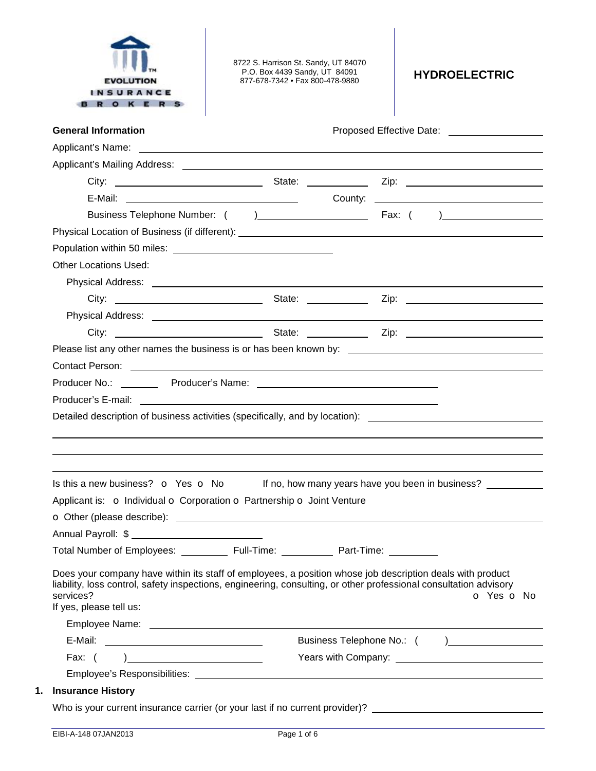

8722 S. Harrison St. Sandy, UT 84070 P.O. Box 4439 Sandy, UT 84091 877-678-7342 • Fax 800-478-9880 **HYDROELECTRIC** 

|                                                                                                                                                                                                                                                                                                                                        |            |            | Proposed Effective Date: ____________________                                                                                                                                                                                  |
|----------------------------------------------------------------------------------------------------------------------------------------------------------------------------------------------------------------------------------------------------------------------------------------------------------------------------------------|------------|------------|--------------------------------------------------------------------------------------------------------------------------------------------------------------------------------------------------------------------------------|
|                                                                                                                                                                                                                                                                                                                                        |            |            |                                                                                                                                                                                                                                |
|                                                                                                                                                                                                                                                                                                                                        |            |            |                                                                                                                                                                                                                                |
|                                                                                                                                                                                                                                                                                                                                        |            |            |                                                                                                                                                                                                                                |
|                                                                                                                                                                                                                                                                                                                                        |            |            |                                                                                                                                                                                                                                |
|                                                                                                                                                                                                                                                                                                                                        |            |            |                                                                                                                                                                                                                                |
|                                                                                                                                                                                                                                                                                                                                        |            |            |                                                                                                                                                                                                                                |
|                                                                                                                                                                                                                                                                                                                                        |            |            |                                                                                                                                                                                                                                |
| <b>Other Locations Used:</b>                                                                                                                                                                                                                                                                                                           |            |            |                                                                                                                                                                                                                                |
|                                                                                                                                                                                                                                                                                                                                        |            |            |                                                                                                                                                                                                                                |
|                                                                                                                                                                                                                                                                                                                                        |            |            |                                                                                                                                                                                                                                |
|                                                                                                                                                                                                                                                                                                                                        |            |            |                                                                                                                                                                                                                                |
|                                                                                                                                                                                                                                                                                                                                        |            |            |                                                                                                                                                                                                                                |
|                                                                                                                                                                                                                                                                                                                                        |            |            |                                                                                                                                                                                                                                |
|                                                                                                                                                                                                                                                                                                                                        |            |            |                                                                                                                                                                                                                                |
|                                                                                                                                                                                                                                                                                                                                        |            |            |                                                                                                                                                                                                                                |
|                                                                                                                                                                                                                                                                                                                                        |            |            |                                                                                                                                                                                                                                |
| Producer's E-mail: The contract of the contract of the contract of the contract of the contract of the contract of the contract of the contract of the contract of the contract of the contract of the contract of the contrac<br>Detailed description of business activities (specifically, and by location): _______________________ |            |            |                                                                                                                                                                                                                                |
|                                                                                                                                                                                                                                                                                                                                        |            |            |                                                                                                                                                                                                                                |
| Is this a new business? $\bullet$ Yes $\bullet$ No If no, how many years have you been in business?                                                                                                                                                                                                                                    |            |            |                                                                                                                                                                                                                                |
| Applicant is: o Individual o Corporation o Partnership o Joint Venture                                                                                                                                                                                                                                                                 |            |            |                                                                                                                                                                                                                                |
|                                                                                                                                                                                                                                                                                                                                        |            |            |                                                                                                                                                                                                                                |
| O Other (please describe): <u>example and contract and contract and contract and contract and contract and contract and contract and contract and contract and contract and contract and contract and contract and contract and </u>                                                                                                   |            |            |                                                                                                                                                                                                                                |
| Total Number of Employees: _________                                                                                                                                                                                                                                                                                                   | Full-Time: | Part-Time: |                                                                                                                                                                                                                                |
| Does your company have within its staff of employees, a position whose job description deals with product<br>liability, loss control, safety inspections, engineering, consulting, or other professional consultation advisory<br>services?<br>If yes, please tell us:                                                                 |            |            | O Yes O No                                                                                                                                                                                                                     |
|                                                                                                                                                                                                                                                                                                                                        |            |            |                                                                                                                                                                                                                                |
|                                                                                                                                                                                                                                                                                                                                        |            |            |                                                                                                                                                                                                                                |
| Fax: $($<br>) and the contract of the contract of $\mathcal{L}$                                                                                                                                                                                                                                                                        |            |            | Years with Company: Nearly Company: Nearly Company: Nearly Company: Nearly Company: Nearly Company: Nearly Company: Nearly Company: Nearly Company: Nearly Company: Nearly Company: Nearly Company: Nearly Company: Nearly Com |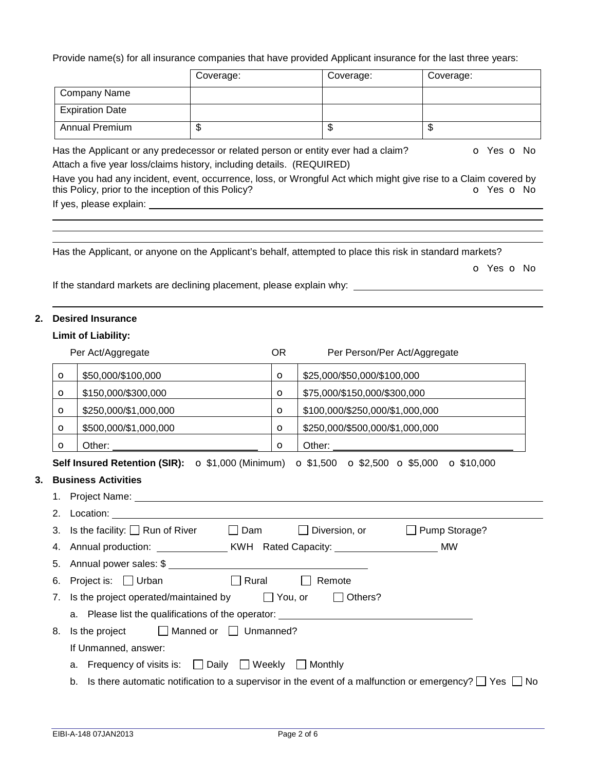Provide name(s) for all insurance companies that have provided Applicant insurance for the last three years:

|                                  |                                                                                                                              | Coverage:                         |                | Coverage:                                                                                                 | Coverage:                                                                                                                                   |
|----------------------------------|------------------------------------------------------------------------------------------------------------------------------|-----------------------------------|----------------|-----------------------------------------------------------------------------------------------------------|---------------------------------------------------------------------------------------------------------------------------------------------|
|                                  | <b>Company Name</b>                                                                                                          |                                   |                |                                                                                                           |                                                                                                                                             |
|                                  | <b>Expiration Date</b>                                                                                                       |                                   |                |                                                                                                           |                                                                                                                                             |
|                                  | <b>Annual Premium</b>                                                                                                        | \$                                |                | \$                                                                                                        | \$                                                                                                                                          |
|                                  | Attach a five year loss/claims history, including details. (REQUIRED)<br>this Policy, prior to the inception of this Policy? |                                   |                | Has the Applicant or any predecessor or related person or entity ever had a claim?                        | O Yes O No<br>Have you had any incident, event, occurrence, loss, or Wrongful Act which might give rise to a Claim covered by<br>O Yes O No |
|                                  |                                                                                                                              |                                   |                | Has the Applicant, or anyone on the Applicant's behalf, attempted to place this risk in standard markets? | O Yes O No                                                                                                                                  |
|                                  | If the standard markets are declining placement, please explain why: ___                                                     |                                   |                |                                                                                                           |                                                                                                                                             |
|                                  | <b>Desired Insurance</b>                                                                                                     |                                   |                |                                                                                                           |                                                                                                                                             |
|                                  | <b>Limit of Liability:</b>                                                                                                   |                                   |                |                                                                                                           |                                                                                                                                             |
|                                  | Per Act/Aggregate                                                                                                            |                                   | <b>OR</b>      | Per Person/Per Act/Aggregate                                                                              |                                                                                                                                             |
| $\circ$                          | \$50,000/\$100,000                                                                                                           |                                   | $\circ$        | \$25,000/\$50,000/\$100,000                                                                               |                                                                                                                                             |
| $\circ$                          | \$150,000/\$300,000                                                                                                          |                                   | $\circ$        | \$75,000/\$150,000/\$300,000                                                                              |                                                                                                                                             |
| $\circ$                          | \$250,000/\$1,000,000                                                                                                        |                                   | $\circ$        | \$100,000/\$250,000/\$1,000,000                                                                           |                                                                                                                                             |
| $\circ$                          | \$500,000/\$1,000,000                                                                                                        |                                   | $\circ$        | \$250,000/\$500,000/\$1,000,000                                                                           |                                                                                                                                             |
| $\circ$                          | Other:                                                                                                                       |                                   | $\circ$        | Other:                                                                                                    |                                                                                                                                             |
|                                  | Self Insured Retention (SIR): $\sigma$ \$1,000 (Minimum)                                                                     |                                   |                | $\bullet$ \$1,500 $\bullet$ \$2,500 $\bullet$ \$5,000 $\bullet$ \$10,000                                  |                                                                                                                                             |
|                                  | <b>Business Activities</b>                                                                                                   |                                   |                |                                                                                                           |                                                                                                                                             |
|                                  |                                                                                                                              |                                   |                |                                                                                                           |                                                                                                                                             |
|                                  |                                                                                                                              |                                   |                |                                                                                                           |                                                                                                                                             |
|                                  |                                                                                                                              |                                   |                |                                                                                                           |                                                                                                                                             |
|                                  | Is the facility: $\Box$ Run of River                                                                                         | $\square$ Dam                     |                | $\Box$ Diversion, or                                                                                      | Pump Storage?                                                                                                                               |
|                                  |                                                                                                                              |                                   |                |                                                                                                           | <b>MW</b>                                                                                                                                   |
|                                  |                                                                                                                              |                                   |                |                                                                                                           |                                                                                                                                             |
|                                  | Project is: $\Box$ Urban                                                                                                     | $\Box$ Rural                      |                | Remote                                                                                                    |                                                                                                                                             |
|                                  | Is the project operated/maintained by                                                                                        |                                   | $\Box$ You, or | $\Box$ Others?                                                                                            |                                                                                                                                             |
| 2.<br>3.<br>4.<br>5.<br>6.<br>7. |                                                                                                                              |                                   |                | a. Please list the qualifications of the operator: _____________________________                          |                                                                                                                                             |
|                                  | Is the project                                                                                                               | $\Box$ Manned or $\Box$ Unmanned? |                |                                                                                                           |                                                                                                                                             |
| 8.                               | If Unmanned, answer:                                                                                                         |                                   |                |                                                                                                           |                                                                                                                                             |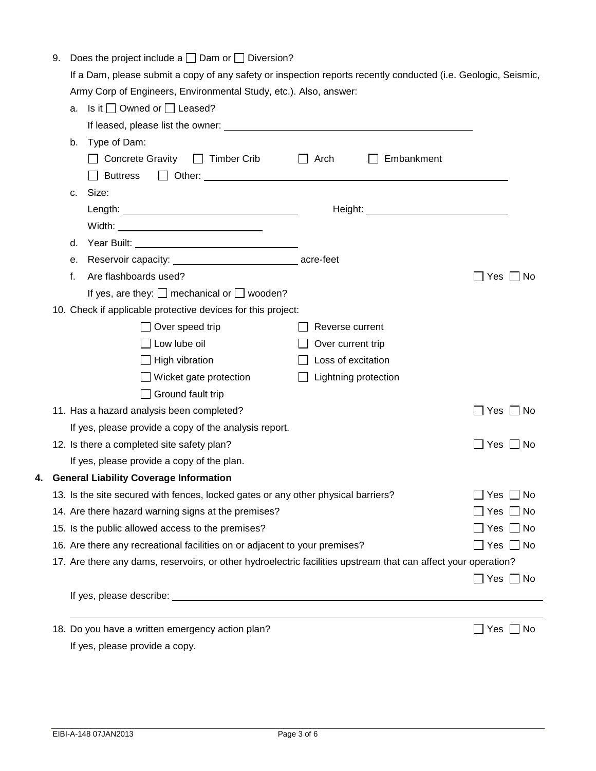| 9. |    | Does the project include a $\Box$ Dam or $\Box$ Diversion?                                                     |                      |                                             |                      |
|----|----|----------------------------------------------------------------------------------------------------------------|----------------------|---------------------------------------------|----------------------|
|    |    | If a Dam, please submit a copy of any safety or inspection reports recently conducted (i.e. Geologic, Seismic, |                      |                                             |                      |
|    |    | Army Corp of Engineers, Environmental Study, etc.). Also, answer:                                              |                      |                                             |                      |
|    |    | a. Is it $\Box$ Owned or $\Box$ Leased?                                                                        |                      |                                             |                      |
|    |    |                                                                                                                |                      |                                             |                      |
|    | b. | Type of Dam:                                                                                                   |                      |                                             |                      |
|    |    | Concrete Gravity □ Timber Crib                                                                                 | $\Box$ Arch          | $\Box$ Embankment                           |                      |
|    |    | <b>Buttress</b>                                                                                                |                      |                                             |                      |
|    | c. | Size:                                                                                                          |                      |                                             |                      |
|    |    |                                                                                                                |                      | Height: <u>www.common.common.common.com</u> |                      |
|    |    |                                                                                                                |                      |                                             |                      |
|    | d. |                                                                                                                |                      |                                             |                      |
|    | е. | Reservoir capacity: _________________________________ acre-feet                                                |                      |                                             |                      |
|    | f. | Are flashboards used?                                                                                          |                      |                                             | Yes $\Box$ No        |
|    |    | If yes, are they: $\Box$ mechanical or $\Box$ wooden?                                                          |                      |                                             |                      |
|    |    | 10. Check if applicable protective devices for this project:                                                   |                      |                                             |                      |
|    |    | $\Box$ Over speed trip                                                                                         | Reverse current      |                                             |                      |
|    |    | $\Box$ Low lube oil                                                                                            | Over current trip    |                                             |                      |
|    |    | $\Box$ High vibration                                                                                          | Loss of excitation   |                                             |                      |
|    |    | $\Box$ Wicket gate protection                                                                                  | Lightning protection |                                             |                      |
|    |    | $\Box$ Ground fault trip                                                                                       |                      |                                             |                      |
|    |    | 11. Has a hazard analysis been completed?                                                                      |                      |                                             | Yes     No           |
|    |    | If yes, please provide a copy of the analysis report.                                                          |                      |                                             |                      |
|    |    | 12. Is there a completed site safety plan?                                                                     |                      |                                             | Yes $\Box$ No        |
|    |    | If yes, please provide a copy of the plan.                                                                     |                      |                                             |                      |
|    |    | 4. General Liability Coverage Information                                                                      |                      |                                             |                      |
|    |    | 13. Is the site secured with fences, locked gates or any other physical barriers?                              |                      |                                             | □ No<br>Yes          |
|    |    | 14. Are there hazard warning signs at the premises?                                                            |                      |                                             | Yes<br>$\Box$ No     |
|    |    | 15. Is the public allowed access to the premises?                                                              |                      |                                             | $\Box$ No<br>Yes     |
|    |    | 16. Are there any recreational facilities on or adjacent to your premises?                                     |                      |                                             | $\Box$ No<br>Yes     |
|    |    | 17. Are there any dams, reservoirs, or other hydroelectric facilities upstream that can affect your operation? |                      |                                             |                      |
|    |    |                                                                                                                |                      |                                             | $\Box$ Yes $\Box$ No |
|    |    |                                                                                                                |                      |                                             |                      |
|    |    |                                                                                                                |                      |                                             |                      |
|    |    | 18. Do you have a written emergency action plan?                                                               |                      |                                             | Yes<br>No            |

If yes, please provide a copy.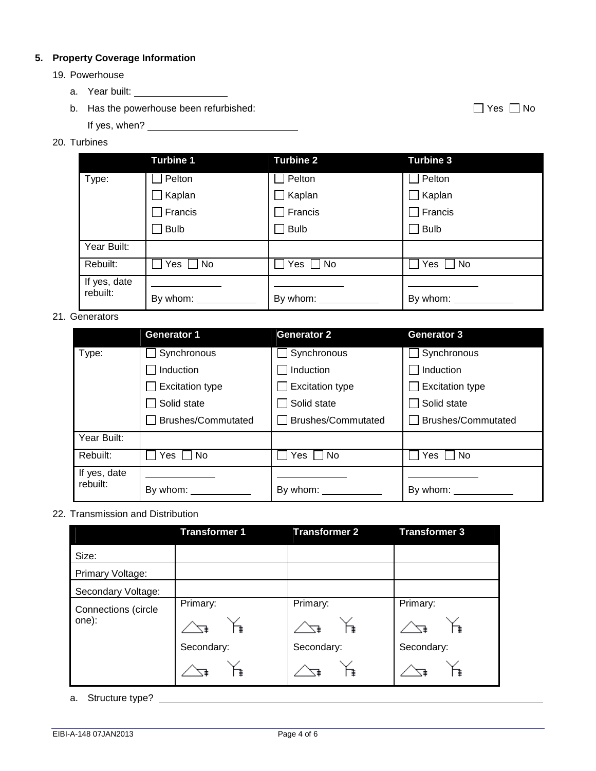## **5. Property Coverage Information**

- 19. Powerhouse
	- a. Year built:
	- b. Has the powerhouse been refurbished:  $\Box$  Yes  $\Box$  No

If yes, when?

## 20. Turbines

|              | <b>Turbine 1</b> | <b>Turbine 2</b>       | <b>Turbine 3</b>             |
|--------------|------------------|------------------------|------------------------------|
| Type:        | Pelton           | Pelton                 | Pelton                       |
|              | Kaplan           | $\Box$ Kaplan          | $\Box$ Kaplan                |
|              | Francis          | Francis                | $\exists$ Francis            |
|              | <b>Bulb</b>      | <b>Bulb</b>            | <b>Bulb</b>                  |
| Year Built:  |                  |                        |                              |
| Rebuilt:     | $\Box$ No<br>Yes | Yes $\Box$ No          | Yes $\Box$ No                |
| If yes, date |                  |                        |                              |
| rebuilt:     | By whom: ___     | By whom: $\frac{1}{2}$ | By whom: $\sqrt{\frac{1}{2}$ |

## 21. Generators

|              | <b>Generator 1</b>     | <b>Generator 2</b>     | <b>Generator 3</b>     |
|--------------|------------------------|------------------------|------------------------|
| Type:        | Synchronous            | Synchronous            | Synchronous            |
|              | Induction              | Induction              | Induction              |
|              | <b>Excitation type</b> | <b>Excitation type</b> | <b>Excitation type</b> |
|              | Solid state            | Solid state            | Solid state            |
|              | Brushes/Commutated     | Brushes/Commutated     | Brushes/Commutated     |
| Year Built:  |                        |                        |                        |
| Rebuilt:     | Yes<br><b>No</b>       | No.<br>Yes.            | Yes<br>No.             |
| If yes, date |                        |                        |                        |
| rebuilt:     | By whom:               | By whom:               | By whom:               |

## 22. Transmission and Distribution

|                     | <b>Transformer 1</b> | <b>Transformer 2</b> | <b>Transformer 3</b> |
|---------------------|----------------------|----------------------|----------------------|
| Size:               |                      |                      |                      |
| Primary Voltage:    |                      |                      |                      |
| Secondary Voltage:  |                      |                      |                      |
| Connections (circle | Primary:             | Primary:             | Primary:             |
| one):               |                      |                      | ≢                    |
|                     | Secondary:           | Secondary:           | Secondary:           |
|                     |                      |                      |                      |

a. Structure type?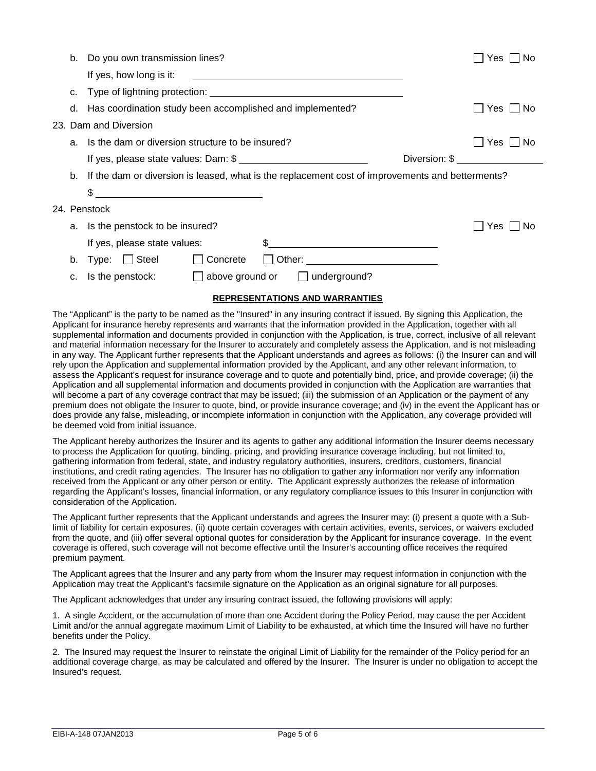| b. | Do you own transmission lines?                                                                                              | No<br>Yes.    |
|----|-----------------------------------------------------------------------------------------------------------------------------|---------------|
|    | If yes, how long is it:<br><u> 1989 - Johann Stoff, amerikansk politiker (d. 1989)</u>                                      |               |
| C. |                                                                                                                             |               |
| d. | Has coordination study been accomplished and implemented?                                                                   | Yes I INo     |
|    | 23. Dam and Diversion                                                                                                       |               |
| a. | Is the dam or diversion structure to be insured?                                                                            | Yes I<br>. No |
|    | If yes, please state values: Dam: \$                                                                                        | Diversion: \$ |
| b. | If the dam or diversion is leased, what is the replacement cost of improvements and betterments?                            |               |
|    | \$<br><u> 1989 - Johann Barbara, martin amerikan basar dan basa dan basa dan basa dalam basa dalam basa dalam basa dala</u> |               |
|    | 24. Penstock                                                                                                                |               |
| а. | Is the penstock to be insured?                                                                                              | Yes<br>No     |
|    | If yes, please state values:                                                                                                |               |
| b. | Type: □ Steel<br>$\Box$ Concrete<br>$\mathbf{1}$                                                                            |               |
|    | $\Box$ is the penstock: $\Box$ above ground or $\Box$ underground?                                                          |               |
|    | <b>REPRESENTATIONS AND WARRANTIES</b>                                                                                       |               |

The "Applicant" is the party to be named as the "Insured" in any insuring contract if issued. By signing this Application, the Applicant for insurance hereby represents and warrants that the information provided in the Application, together with all supplemental information and documents provided in conjunction with the Application, is true, correct, inclusive of all relevant and material information necessary for the Insurer to accurately and completely assess the Application, and is not misleading in any way. The Applicant further represents that the Applicant understands and agrees as follows: (i) the Insurer can and will rely upon the Application and supplemental information provided by the Applicant, and any other relevant information, to assess the Applicant's request for insurance coverage and to quote and potentially bind, price, and provide coverage; (ii) the Application and all supplemental information and documents provided in conjunction with the Application are warranties that will become a part of any coverage contract that may be issued; (iii) the submission of an Application or the payment of any premium does not obligate the Insurer to quote, bind, or provide insurance coverage; and (iv) in the event the Applicant has or does provide any false, misleading, or incomplete information in conjunction with the Application, any coverage provided will be deemed void from initial issuance.

The Applicant hereby authorizes the Insurer and its agents to gather any additional information the Insurer deems necessary to process the Application for quoting, binding, pricing, and providing insurance coverage including, but not limited to, gathering information from federal, state, and industry regulatory authorities, insurers, creditors, customers, financial institutions, and credit rating agencies. The Insurer has no obligation to gather any information nor verify any information received from the Applicant or any other person or entity. The Applicant expressly authorizes the release of information regarding the Applicant's losses, financial information, or any regulatory compliance issues to this Insurer in conjunction with consideration of the Application.

The Applicant further represents that the Applicant understands and agrees the Insurer may: (i) present a quote with a Sublimit of liability for certain exposures, (ii) quote certain coverages with certain activities, events, services, or waivers excluded from the quote, and (iii) offer several optional quotes for consideration by the Applicant for insurance coverage. In the event coverage is offered, such coverage will not become effective until the Insurer's accounting office receives the required premium payment.

The Applicant agrees that the Insurer and any party from whom the Insurer may request information in conjunction with the Application may treat the Applicant's facsimile signature on the Application as an original signature for all purposes.

The Applicant acknowledges that under any insuring contract issued, the following provisions will apply:

1. A single Accident, or the accumulation of more than one Accident during the Policy Period, may cause the per Accident Limit and/or the annual aggregate maximum Limit of Liability to be exhausted, at which time the Insured will have no further benefits under the Policy.

2. The Insured may request the Insurer to reinstate the original Limit of Liability for the remainder of the Policy period for an additional coverage charge, as may be calculated and offered by the Insurer. The Insurer is under no obligation to accept the Insured's request.